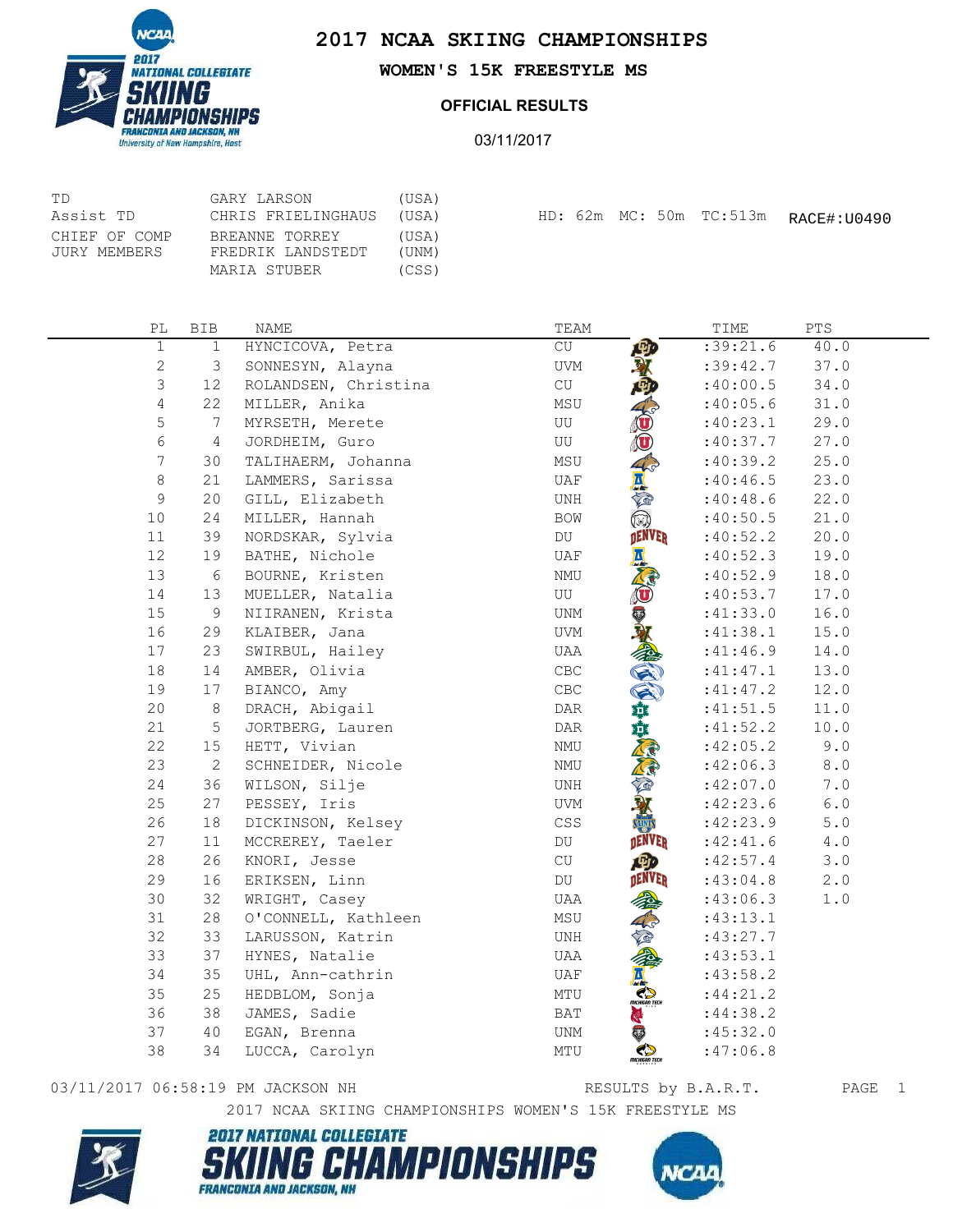



**WOMEN'S 15K FREESTYLE MS**

## **OFFICIAL RESULTS**

03/11/2017

| TD                            | GARY LARSON                                         | (USA)                   |  |  |                         |             |
|-------------------------------|-----------------------------------------------------|-------------------------|--|--|-------------------------|-------------|
| Assist TD                     | CHRIS FRIELINGHAUS                                  | (USA)                   |  |  | HD: 62m MC: 50m TC:513m | RACE#:U0490 |
| CHIEF OF COMP<br>JURY MEMBERS | BREANNE TORREY<br>FREDRIK LANDSTEDT<br>MARIA STUBER | (USA)<br>(UNM)<br>(CSS) |  |  |                         |             |

| РL             | <b>BIB</b>     | NAME                 | TEAM                                     | TIME      | PTS           |
|----------------|----------------|----------------------|------------------------------------------|-----------|---------------|
| $\mathbf 1$    | $\mathbf 1$    | HYNCICOVA, Petra     | 四<br>CU                                  | :39:21.6  | 40.0          |
| $\mathbf{2}$   | 3              | SONNESYN, Alayna     | UVM                                      | :39:42.7  | 37.0          |
| 3              | 12             | ROLANDSEN, Christina | $\operatorname{CU}$                      | :40:00.5  | 34.0          |
| $\overline{4}$ | 22             | MILLER, Anika        | MSU                                      | :40:05.6  | 31.0          |
| 5              | 7              | MYRSETH, Merete      | Ô<br>UU                                  | :40:23.1  | 29.0          |
| $\epsilon$     | $\overline{4}$ | JORDHEIM, Guro       | $\mathbf{0}$<br>UU                       | :40:37.7  | 27.0          |
| $7\phantom{.}$ | 30             | TALIHAERM, Johanna   | MSU                                      | :40:39.2  | 25.0          |
| 8              | 21             | LAMMERS, Sarissa     | <b>AVE</b><br>UAF                        | :40:46.5  | 23.0          |
| $\mathsf 9$    | 20             | GILL, Elizabeth      | UNH                                      | :40:48.6  | 22.0          |
| 10             | 24             | MILLER, Hannah       | $\bigcirc$<br>BOW                        | :40:50.5  | 21.0          |
| 11             | 39             | NORDSKAR, Sylvia     | DENVER<br>DU                             | :40:52.2  | 20.0          |
| 12             | 19             | BATHE, Nichole       | A,<br>UAF                                | :40:52.3  | 19.0          |
| 13             | 6              | BOURNE, Kristen      | NMU                                      | :40:52.9  | 18.0          |
| 14             | 13             | MUELLER, Natalia     | $\textcircled{\textbf{t}}$<br>UU         | :40:53.7  | 17.0          |
| 15             | 9              | NIIRANEN, Krista     | UNM                                      | :41:33.0  | 16.0          |
| 16             | 29             | KLAIBER, Jana        | UVM                                      | :41:38.1  | 15.0          |
| 17             | 23             | SWIRBUL, Hailey      | 《医疗基础<br>UAA                             | :41:46.9  | 14.0          |
| 18             | 14             | AMBER, Olivia        | $\mathsf{CBC}$                           | :41:47.1  | 13.0          |
| 19             | 17             | BIANCO, Amy          | $\mathsf{CBC}$                           | :41:47.2  | 12.0          |
| 20             | 8              | DRACH, Abigail       | DAR                                      | :41:51.5  | 11.0          |
| 21             | $\mathsf S$    | JORTBERG, Lauren     | DAR                                      | :41:52.2  | 10.0          |
| 22             | 15             | HETT, Vivian         | $\mathop{\rm NMU}\nolimits$              | :42:05.2  | 9.0           |
| 23             | $\mathbf{2}$   | SCHNEIDER, Nicole    | NMU                                      | :42:06.3  | 8.0           |
| 24             | 36             | WILSON, Silje        | UNH                                      | :42:07.0  | 7.0           |
| 25             | 27             | PESSEY, Iris         | UVM                                      | :42:23.6  | $6.0\,$       |
| 26             | 18             | DICKINSON, Kelsey    | $\mathbb{C}\mathbb{S}\mathbb{S}$<br>SUNT | :42:23.9  | $5.0$         |
| 27             | 11             | MCCREREY, Taeler     | DENVER<br>DU                             | :42:41.6  | $4\,$ . $0\,$ |
| 28             | 26             | KNORI, Jesse         | <b>ABD</b><br>CU                         | :42:57.4  | 3.0           |
| 29             | 16             | ERIKSEN, Linn        | DENVER<br>DU                             | :43:04.8  | 2.0           |
| 30             | 32             | WRIGHT, Casey        | UAA                                      | :43:06.3  | 1.0           |
| 31             | 28             | O'CONNELL, Kathleen  | MSU                                      | :43:13.1  |               |
| 32             | 33             | LARUSSON, Katrin     | UNH                                      | :43:27.7  |               |
| 33             | 37             | HYNES, Natalie       | UAA                                      | :43:53.1  |               |
| 34             | 35             | UHL, Ann-cathrin     | <b>TANK</b><br>UAF                       | : 43:58.2 |               |
| 35             | 25             | HEDBLOM, Sonja       | MTU                                      | : 44:21.2 |               |
| 36             | 38             | JAMES, Sadie         | O<br>BAT                                 | :44:38.2  |               |
| 37             | 40             | EGAN, Brenna         | UNM                                      | :45:32.0  |               |
| 38             | 34             | LUCCA, Carolyn       | Č,<br>MTU<br>тіснібял тесн               | : 47:06.8 |               |

## 03/11/2017 06:58:19 PM JACKSON NH<br>RESULTS by B.A.R.T. PAGE 1

RESULTS by B.A.R.T.

2017 NCAA SKIING CHAMPIONSHIPS WOMEN'S 15K FREESTYLE MS